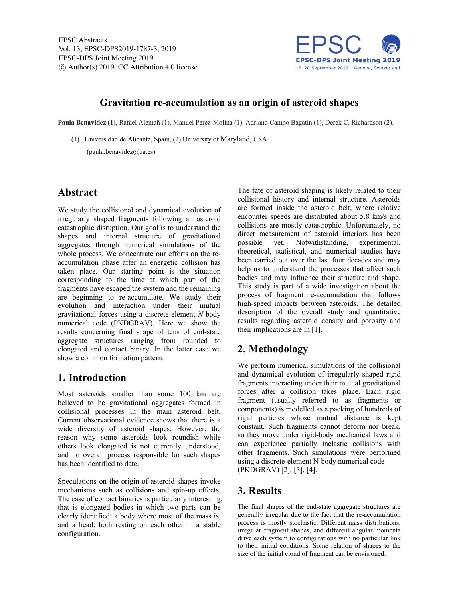

#### **Gravitation re-accumulation as an origin of asteroid shapes**

**Paula Benavidez (1)**, Rafael Alemañ (1), Manuel Perez-Molina (1), Adriano Campo Bagatin (1), Derek C. Richardson (2).

(1) Universidad de Alicante, Spain, (2) University of Maryland, USA

 $(paula.benavidez@ua.es)$ 

## **Abstract**

We study the collisional and dynamical evolution of irregularly shaped fragments following an asteroid catastrophic disruption. Our goal is to understand the shapes and internal structure of gravitational aggregates through numerical simulations of the whole process. We concentrate our efforts on the reaccumulation phase after an energetic collision has taken place. Our starting point is the situation corresponding to the time at which part of the fragments have escaped the system and the remaining are beginning to re-accumulate. We study their evolution and interaction under their mutual gravitational forces using a discrete-element *N*-body numerical code (PKDGRAV). Here we show the results concerning final shape of tens of end-state aggregate structures ranging from rounded to elongated and contact binary. In the latter case we show a common formation pattern.

# **1. Introduction**

Most asteroids smaller than some 100 km are believed to be gravitational aggregates formed in collisional processes in the main asteroid belt. Current observational evidence shows that there is a wide diversity of asteroid shapes. However, the reason why some asteroids look roundish while others look elongated is not currently understood, and no overall process responsible for such shapes has been identified to date.

Speculations on the origin of asteroid shapes invoke mechanisms such as collisions and spin-up effects. The case of contact binaries is particularly interesting, that is elongated bodies in which two parts can be clearly identified: a body where most of the mass is, and a head, both resting on each other in a stable configuration.

The fate of asteroid shaping is likely related to their collisional history and internal structure. Asteroids are formed inside the asteroid belt, where relative encounter speeds are distributed about 5.8 km/s and collisions are mostly catastrophic. Unfortunately, no direct measurement of asteroid interiors has been possible yet. Notwithstanding, experimental, theoretical, statistical, and numerical studies have been carried out over the last four decades and may help us to understand the processes that affect such bodies and may influence their structure and shape. This study is part of a wide investigation about the process of fragment re-accumulation that follows high-speed impacts between asteroids. The detailed description of the overall study and quantitative results regarding asteroid density and porosity and their implications are in [1].

# **2. Methodology**

We perform numerical simulations of the collisional and dynamical evolution of irregularly shaped rigid fragments interacting under their mutual gravitational forces after a collision takes place. Each rigid fragment (usually referred to as fragments or components) is modelled as a packing of hundreds of rigid particles whose mutual distance is kept constant. Such fragments cannot deform nor break, so they move under rigid-body mechanical laws and can experience partially inelastic collisions with other fragments. Such simulations were performed using a discrete-element N-body numerical code (PKDGRAV) [2], [3], [4].

## **3. Results**

The final shapes of the end-state aggregate structures are generally irregular due to the fact that the re-accumulation process is mostly stochastic. Different mass distributions, irregular fragment shapes, and different angular momenta drive each system to configurations with no particular link to their initial conditions. Some relation of shapes to the size of the initial cloud of fragment can be envisioned.